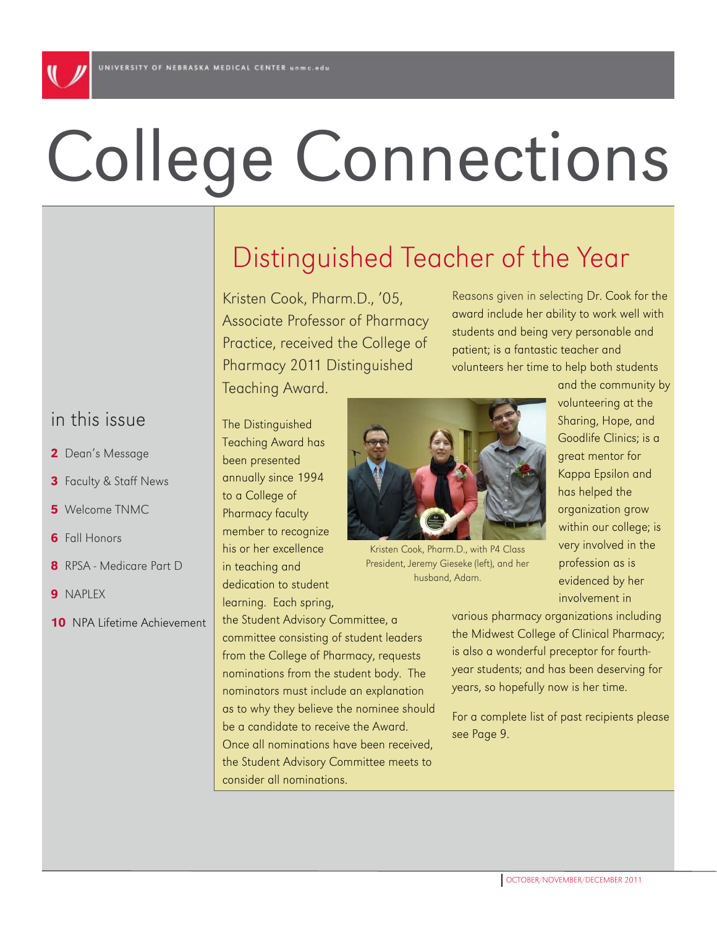# College Connections

# Distinguished Teacher of the Year

Kristen Cook, Pharm.D., '05, Associate Professor of Pharmacy Practice, received the College of Pharmacy 2011 Distinguished

Teaching Award.

Reasons given in selecting Dr. Cook for the award include her ability to work well with students and being very personable and patient; is a fantastic teacher and volunteers her time to help both students and the community by

> volunteering at the Sharing, Hope, and Goodlife Clinics; is a great mentor for Kappa Epsilon and has helped the organization grow within our college; is very involved in the profession as is evidenced by her involvement in

The Distinguished Teaching Award has been presented annually since 1994 to a College of Pharmacy faculty member to recognize his or her excellence in teaching and

dedication to student learning. Each spring,

the Student Advisory Committee, a committee consisting of student leaders from the College of Pharmacy, requests nominations from the student body. The nominators must include an explanation as to why they believe the nominee should be a candidate to receive the Award. Once all nominations have been received, the Student Advisory Committee meets to consider all nominations.



husband, Adam.

various pharmacy organizations including the Midwest College of Clinical Pharmacy; is also a wonderful preceptor for fourthyear students; and has been deserving for years, so hopefully now is her time.

For a complete list of past recipients please see Page 9.

## in this issue

- 2 Dean's Message
- 3 Faculty & Staff News
- 5 Welcome TNMC
- **6** Fall Honors
- 8 RPSA Medicare Part D
- 9 NAPLEX
- 10 NPA Lifetime Achievement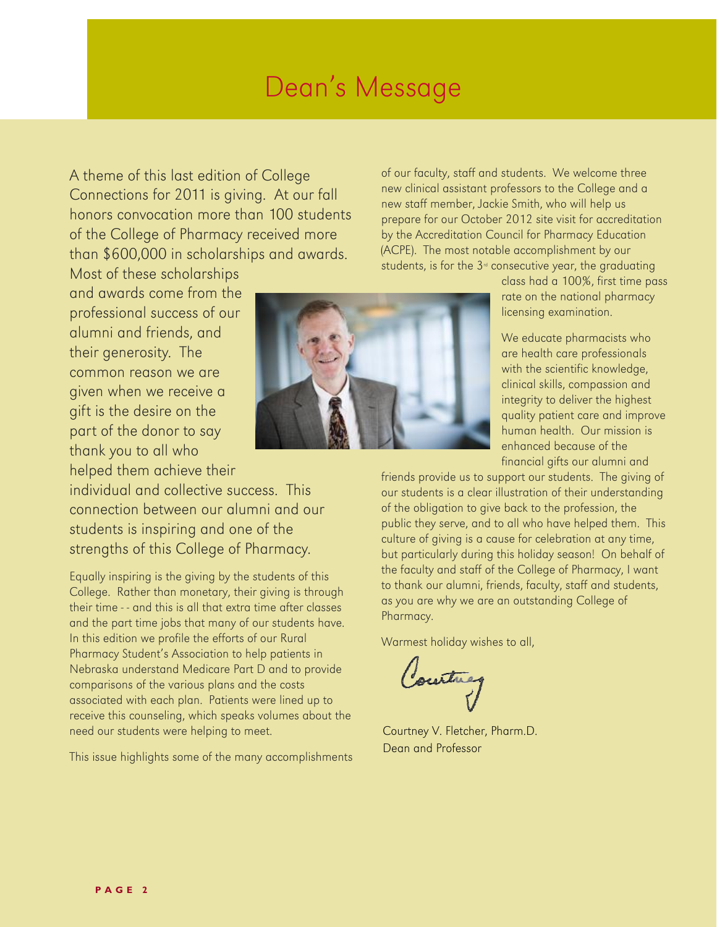A theme of this last edition of College Connections for 2011 is giving. At our fall honors convocation more than 100 students of the College of Pharmacy received more than \$600,000 in scholarships and awards.

Most of these scholarships and awards come from the professional success of our alumni and friends, and their generosity. The common reason we are given when we receive a gift is the desire on the part of the donor to say thank you to all who helped them achieve their

individual and collective success. This connection between our alumni and our students is inspiring and one of the strengths of this College of Pharmacy.

Equally inspiring is the giving by the students of this College. Rather than monetary, their giving is through their time - - and this is all that extra time after classes and the part time jobs that many of our students have. In this edition we profile the efforts of our Rural Pharmacy Student's Association to help patients in Nebraska understand Medicare Part D and to provide comparisons of the various plans and the costs associated with each plan. Patients were lined up to receive this counseling, which speaks volumes about the need our students were helping to meet.

This issue highlights some of the many accomplishments

of our faculty, staff and students. We welcome three new clinical assistant professors to the College and a new staff member, Jackie Smith, who will help us prepare for our October 2012 site visit for accreditation by the Accreditation Council for Pharmacy Education (ACPE). The most notable accomplishment by our students, is for the  $3<sup>d</sup>$  consecutive year, the graduating

> class had a 100%, first time pass rate on the national pharmacy licensing examination.

We educate pharmacists who are health care professionals with the scientific knowledge, clinical skills, compassion and integrity to deliver the highest quality patient care and improve human health. Our mission is enhanced because of the financial gifts our alumni and

friends provide us to support our students. The giving of our students is a clear illustration of their understanding of the obligation to give back to the profession, the public they serve, and to all who have helped them. This culture of giving is a cause for celebration at any time, but particularly during this holiday season! On behalf of the faculty and staff of the College of Pharmacy, I want to thank our alumni, friends, faculty, staff and students, as you are why we are an outstanding College of Pharmacy.

Warmest holiday wishes to all,

Courtney

Courtney V. Fletcher, Pharm.D. Dean and Professor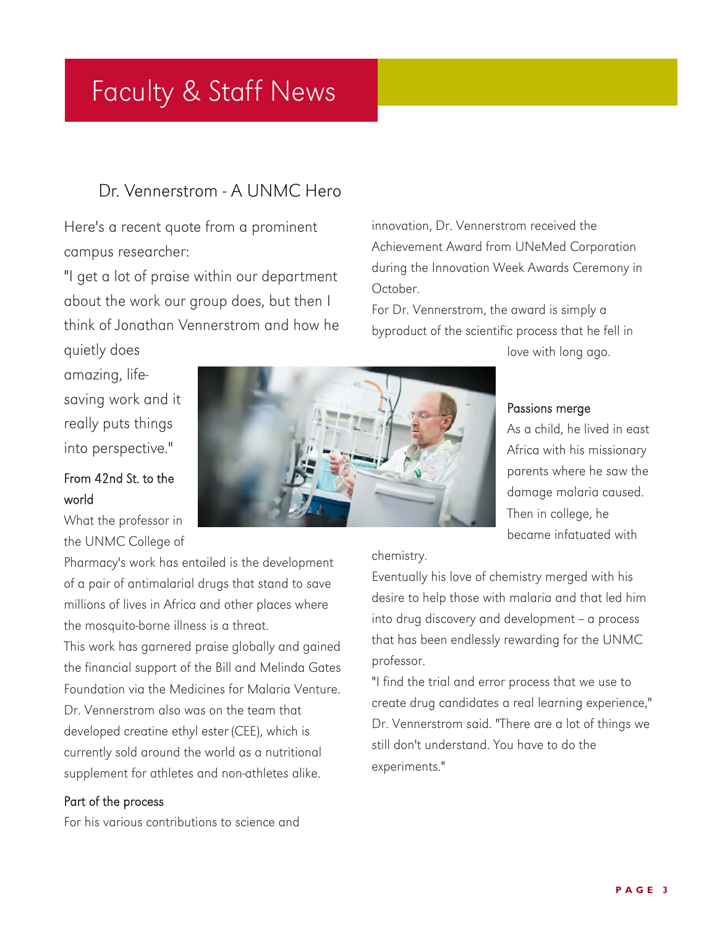# Faculty & Staff News

## Dr. Vennerstrom - A UNMC Hero

Here's a recent quote from a prominent campus researcher:

"I get a lot of praise within our department about the work our group does, but then I think of Jonathan Vennerstrom and how he quietly does

innovation, Dr. Vennerstrom received the Achievement Award from UNeMed Corporation during the Innovation Week Awards Ceremony in October.

For Dr. Vennerstrom, the award is simply a byproduct of the scientific process that he fell in

love with long ago.

amazing, lifesaving work and it really puts things into perspective."

#### From 42nd St. to the world

What the professor in the UNMC College of

Pharmacy's work has entailed is the development of a pair of antimalarial drugs that stand to save millions of lives in Africa and other places where the mosquito-borne illness is a threat.

This work has garnered praise globally and gained the financial support of the Bill and Melinda Gates Foundation via the Medicines for Malaria Venture.

Dr. Vennerstrom also was on the team that developed creatine ethyl ester (CEE), which is currently sold around the world as a nutritional supplement for athletes and non-athletes alike.

#### Part of the process

For his various contributions to science and



#### Passions merge

As a child, he lived in east Africa with his missionary parents where he saw the damage malaria caused. Then in college, he became infatuated with

#### chemistry.

Eventually his love of chemistry merged with his desire to help those with malaria and that led him into drug discovery and development - a process that has been endlessly rewarding for the UNMC professor.

"I find the trial and error process that we use to create drug candidates a real learning experience," Dr. Vennerstrom said. "There are a lot of things we still don't understand. You have to do the experiments."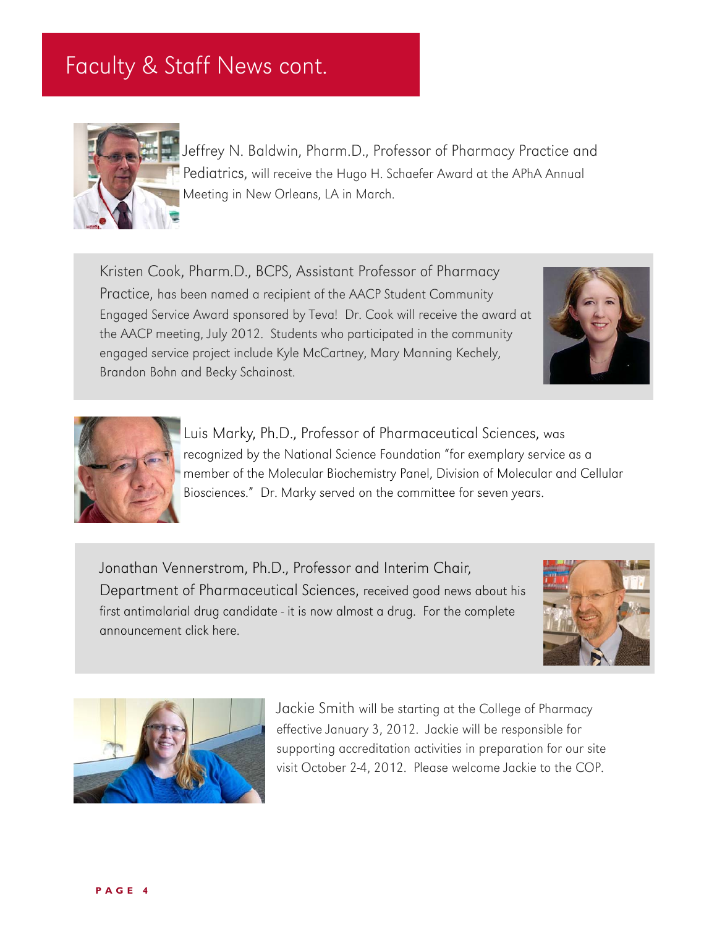# Faculty & Staff News cont.



Jeffrey N. Baldwin, Pharm.D., Professor of Pharmacy Practice and Pediatrics, will receive the Hugo H. Schaefer Award at the APhA Annual Meeting in New Orleans, LA in March.

Kristen Cook, Pharm.D., BCPS, Assistant Professor of Pharmacy Practice, has been named a recipient of the AACP Student Community Engaged Service Award sponsored by Teva! Dr. Cook will receive the award at the AACP meeting, July 2012. Students who participated in the community engaged service project include Kyle McCartney, Mary Manning Kechely, Brandon Bohn and Becky Schainost.





Luis Marky, Ph.D., Professor of Pharmaceutical Sciences, was recognized by the National Science Foundation "for exemplary service as a member of the Molecular Biochemistry Panel, Division of Molecular and Cellular Biosciences." Dr. Marky served on the committee for seven years.

Jonathan Vennerstrom, Ph.D., Professor and Interim Chair, Department of Pharmaceutical Sciences, received good news about his first antimalarial drug candidate - it is now almost a drug. For the complete announcement [click here.](#page-10-0)





Jackie Smith will be starting at the College of Pharmacy effective January 3, 2012. Jackie will be responsible for supporting accreditation activities in preparation for our site visit October 2-4, 2012. Please welcome Jackie to the COP.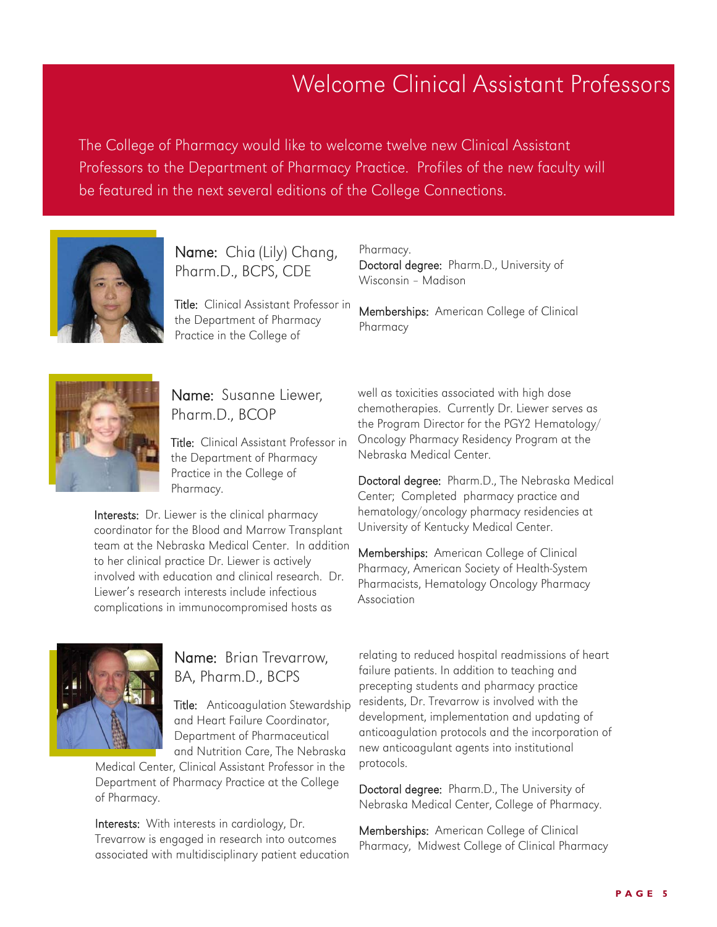# Welcome Clinical Assistant Professors

The College of Pharmacy would like to welcome twelve new Clinical Assistant Professors to the Department of Pharmacy Practice. Profiles of the new faculty will be featured in the next several editions of the College Connections.



Name: Chia (Lily) Chang, Pharm.D., BCPS, CDE

Title: Clinical Assistant Professor in the Department of Pharmacy Practice in the College of

#### Pharmacy.

Doctoral degree: Pharm.D., University of Wisconsin – Madison

Memberships: American College of Clinical Pharmacy



### Name: Susanne Liewer, Pharm.D., BCOP

Title: Clinical Assistant Professor in the Department of Pharmacy Practice in the College of Pharmacy.

Interests: Dr. Liewer is the clinical pharmacy coordinator for the Blood and Marrow Transplant team at the Nebraska Medical Center. In addition to her clinical practice Dr. Liewer is actively involved with education and clinical research. Dr. Liewer's research interests include infectious complications in immunocompromised hosts as

#### Name: Brian Trevarrow, BA, Pharm.D., BCPS

**Title:** Anticoagulation Stewardship and Heart Failure Coordinator, Department of Pharmaceutical and Nutrition Care, The Nebraska

Medical Center, Clinical Assistant Professor in the Department of Pharmacy Practice at the College of Pharmacy.

Interests: With interests in cardiology, Dr. Trevarrow is engaged in research into outcomes associated with multidisciplinary patient education

well as toxicities associated with high dose chemotherapies. Currently Dr. Liewer serves as the Program Director for the PGY2 Hematology/ Oncology Pharmacy Residency Program at the Nebraska Medical Center.

Doctoral degree: Pharm.D., The Nebraska Medical Center; Completed pharmacy practice and hematology/oncology pharmacy residencies at University of Kentucky Medical Center.

Memberships: American College of Clinical Pharmacy, American Society of Health-System Pharmacists, Hematology Oncology Pharmacy Association

relating to reduced hospital readmissions of heart failure patients. In addition to teaching and precepting students and pharmacy practice residents, Dr. Trevarrow is involved with the development, implementation and updating of anticoagulation protocols and the incorporation of new anticoagulant agents into institutional protocols.

Doctoral degree: Pharm.D., The University of Nebraska Medical Center, College of Pharmacy.

Memberships: American College of Clinical Pharmacy, Midwest College of Clinical Pharmacy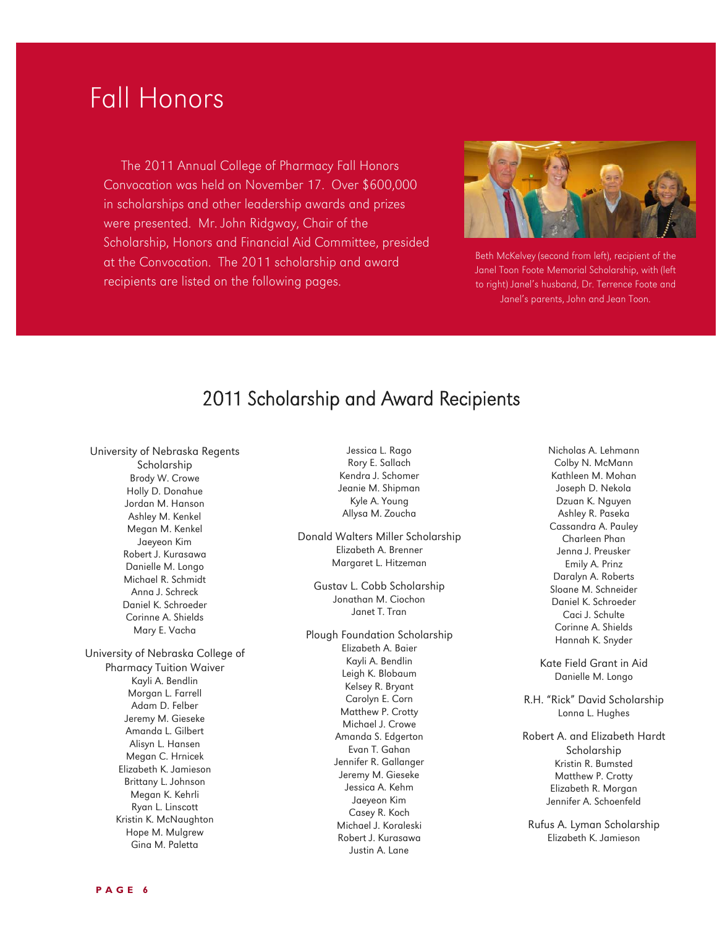# Fall Honors

 The 2011 Annual College of Pharmacy Fall Honors Convocation was held on November 17. Over \$600,000 in scholarships and other leadership awards and prizes were presented. Mr. John Ridgway, Chair of the Scholarship, Honors and Financial Aid Committee, presided at the Convocation. The 2011 scholarship and award recipients are listed on the following pages.



Beth McKelvey (second from left), recipient of the Janel Toon Foote Memorial Scholarship, with (left to right) Janel's husband, Dr. Terrence Foote and Janel's parents, John and Jean Toon.

## 2011 Scholarship and Award Recipients

University of Nebraska Regents

Scholarship Brody W. Crowe Holly D. Donahue Jordan M. Hanson Ashley M. Kenkel Megan M. Kenkel Jaeyeon Kim Robert J. Kurasawa Danielle M. Longo Michael R. Schmidt Anna J. Schreck Daniel K. Schroeder Corinne A. Shields Mary E. Vacha University of Nebraska College of Pharmacy Tuition Waiver

Kayli A. Bendlin Morgan L. Farrell Adam D. Felber Jeremy M. Gieseke Amanda L. Gilbert Alisyn L. Hansen Megan C. Hrnicek Elizabeth K. Jamieson Brittany L. Johnson Megan K. Kehrli Ryan L. Linscott Kristin K. McNaughton Hope M. Mulgrew Gina M. Paletta

Jessica L. Rago Rory E. Sallach Kendra J. Schomer Jeanie M. Shipman Kyle A. Young Allysa M. Zoucha

Donald Walters Miller Scholarship Elizabeth A. Brenner Margaret L. Hitzeman

Gustav L. Cobb Scholarship Jonathan M. Ciochon Janet T. Tran

Plough Foundation Scholarship Elizabeth A. Baier Kayli A. Bendlin Leigh K. Blobaum Kelsey R. Bryant Carolyn E. Corn Matthew P. Crotty Michael J. Crowe Amanda S. Edgerton Evan T. Gahan Jennifer R. Gallanger Jeremy M. Gieseke Jessica A. Kehm Jaeyeon Kim Casey R. Koch Michael J. Koraleski Robert J. Kurasawa Justin A. Lane

Nicholas A. Lehmann Colby N. McMann Kathleen M. Mohan Joseph D. Nekola Dzuan K. Nguyen Ashley R. Paseka Cassandra A. Pauley Charleen Phan Jenna J. Preusker Emily A. Prinz Daralyn A. Roberts Sloane M. Schneider Daniel K. Schroeder Caci J. Schulte Corinne A. Shields Hannah K. Snyder

Kate Field Grant in Aid Danielle M. Longo

R.H. "Rick" David Scholarship Lonna L. Hughes

Robert A. and Elizabeth Hardt Scholarship Kristin R. Bumsted Matthew P. Crotty Elizabeth R. Morgan Jennifer A. Schoenfeld

Rufus A. Lyman Scholarship Elizabeth K. Jamieson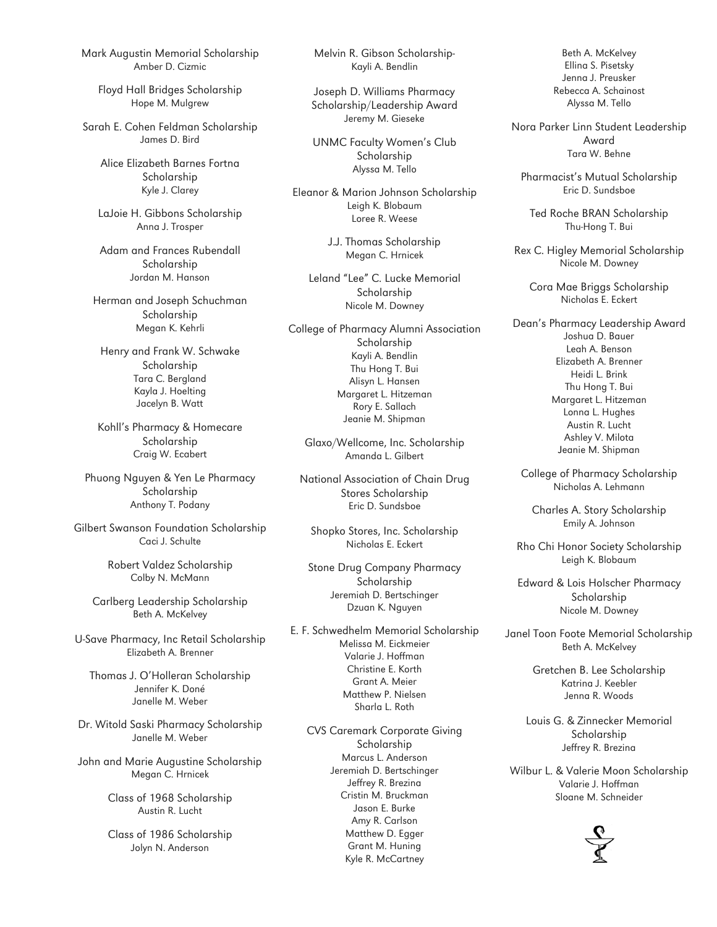Mark Augustin Memorial Scholarship Amber D. Cizmic

Floyd Hall Bridges Scholarship Hope M. Mulgrew

Sarah E. Cohen Feldman Scholarship James D. Bird

> Alice Elizabeth Barnes Fortna Scholarship Kyle J. Clarey

LaJoie H. Gibbons Scholarship Anna J. Trosper

Adam and Frances Rubendall Scholarship Jordan M. Hanson

Herman and Joseph Schuchman Scholarship Megan K. Kehrli

Henry and Frank W. Schwake Scholarship Tara C. Bergland Kayla J. Hoelting Jacelyn B. Watt

Kohll's Pharmacy & Homecare Scholarship Craig W. Ecabert

Phuong Nguyen & Yen Le Pharmacy Scholarship Anthony T. Podany

Gilbert Swanson Foundation Scholarship Caci J. Schulte

> Robert Valdez Scholarship Colby N. McMann

Carlberg Leadership Scholarship Beth A. McKelvey

U-Save Pharmacy, Inc Retail Scholarship Elizabeth A. Brenner

Thomas J. O'Holleran Scholarship Jennifer K. Doné Janelle M. Weber

Dr. Witold Saski Pharmacy Scholarship Janelle M. Weber

John and Marie Augustine Scholarship Megan C. Hrnicek

> Class of 1968 Scholarship Austin R. Lucht

> Class of 1986 Scholarship Jolyn N. Anderson

Melvin R. Gibson Scholarship-Kayli A. Bendlin

Joseph D. Williams Pharmacy Scholarship/Leadership Award Jeremy M. Gieseke

UNMC Faculty Women's Club Scholarship Alyssa M. Tello

Eleanor & Marion Johnson Scholarship Leigh K. Blobaum Loree R. Weese

> J.J. Thomas Scholarship Megan C. Hrnicek

Leland "Lee" C. Lucke Memorial Scholarship Nicole M. Downey

College of Pharmacy Alumni Association Scholarship Kayli A. Bendlin Thu Hong T. Bui Alisyn L. Hansen Margaret L. Hitzeman Rory E. Sallach Jeanie M. Shipman

Glaxo/Wellcome, Inc. Scholarship Amanda L. Gilbert

National Association of Chain Drug Stores Scholarship Eric D. Sundsboe

Shopko Stores, Inc. Scholarship Nicholas E. Eckert

Stone Drug Company Pharmacy Scholarship Jeremiah D. Bertschinger Dzuan K. Nguyen

E. F. Schwedhelm Memorial Scholarship Melissa M. Eickmeier Valarie J. Hoffman Christine E. Korth Grant A. Meier Matthew P. Nielsen Sharla L. Roth

CVS Caremark Corporate Giving Scholarship Marcus L. Anderson Jeremiah D. Bertschinger Jeffrey R. Brezina Cristin M. Bruckman Jason E. Burke Amy R. Carlson Matthew D. Egger Grant M. Huning Kyle R. McCartney

Beth A. McKelvey Ellina S. Pisetsky Jenna J. Preusker Rebecca A. Schainost Alyssa M. Tello

Nora Parker Linn Student Leadership Award Tara W. Behne

Pharmacist's Mutual Scholarship Eric D. Sundsboe

Ted Roche BRAN Scholarship Thu-Hong T. Bui

Rex C. Higley Memorial Scholarship Nicole M. Downey

Cora Mae Briggs Scholarship Nicholas E. Eckert

Dean's Pharmacy Leadership Award Joshua D. Bauer Leah A. Benson Elizabeth A. Brenner Heidi L. Brink Thu Hong T. Bui Margaret L. Hitzeman Lonna L. Hughes Austin R. Lucht Ashley V. Milota Jeanie M. Shipman

College of Pharmacy Scholarship Nicholas A. Lehmann

Charles A. Story Scholarship Emily A. Johnson

Rho Chi Honor Society Scholarship Leigh K. Blobaum

Edward & Lois Holscher Pharmacy Scholarship Nicole M. Downey

Janel Toon Foote Memorial Scholarship Beth A. McKelvey

> Gretchen B. Lee Scholarship Katrina J. Keebler Jenna R. Woods

Louis G. & Zinnecker Memorial Scholarship Jeffrey R. Brezina

Wilbur L. & Valerie Moon Scholarship Valarie J. Hoffman Sloane M. Schneider

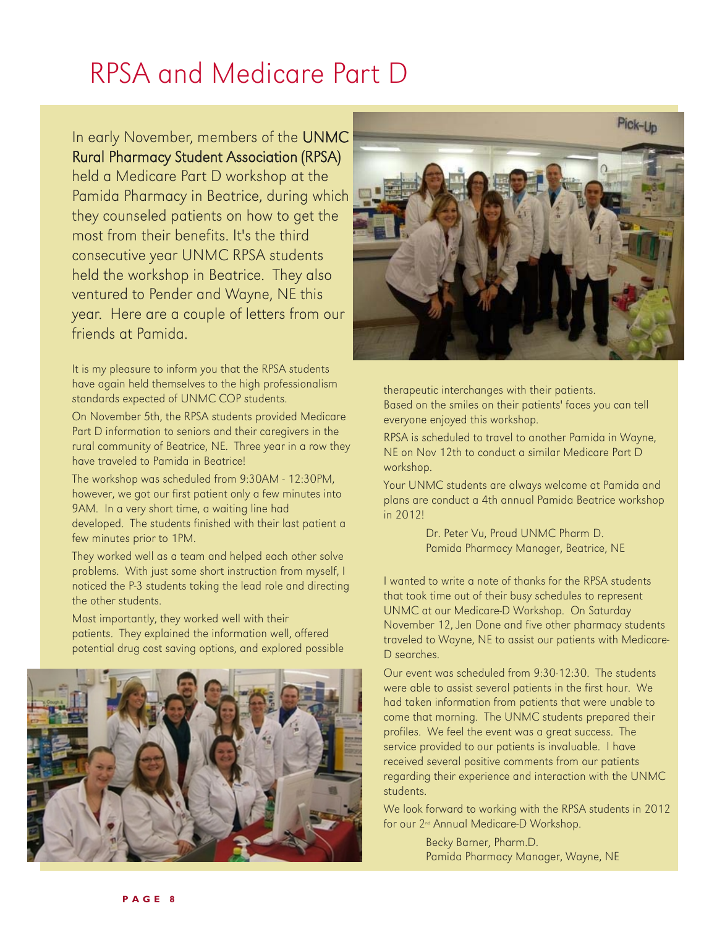# RPSA and Medicare Part D

In early November, members of the UNMC Rural Pharmacy Student Association (RPSA) held a Medicare Part D workshop at the Pamida Pharmacy in Beatrice, during which they counseled patients on how to get the most from their benefits. It's the third consecutive year UNMC RPSA students held the workshop in Beatrice. They also ventured to Pender and Wayne, NE this year. Here are a couple of letters from our friends at Pamida.

It is my pleasure to inform you that the RPSA students have again held themselves to the high professionalism standards expected of UNMC COP students.

On November 5th, the RPSA students provided Medicare Part D information to seniors and their caregivers in the rural community of Beatrice, NE. Three year in a row they have traveled to Pamida in Beatrice!

The workshop was scheduled from 9:30AM - 12:30PM, however, we got our first patient only a few minutes into 9AM. In a very short time, a waiting line had developed. The students finished with their last patient a few minutes prior to 1PM.

They worked well as a team and helped each other solve problems. With just some short instruction from myself, I noticed the P-3 students taking the lead role and directing the other students.

Most importantly, they worked well with their patients. They explained the information well, offered potential drug cost saving options, and explored possible





therapeutic interchanges with their patients. Based on the smiles on their patients' faces you can tell everyone enjoyed this workshop.

RPSA is scheduled to travel to another Pamida in Wayne, NE on Nov 12th to conduct a similar Medicare Part D workshop.

Your UNMC students are always welcome at Pamida and plans are conduct a 4th annual Pamida Beatrice workshop in 2012!

> Dr. Peter Vu, Proud UNMC Pharm D. Pamida Pharmacy Manager, Beatrice, NE

I wanted to write a note of thanks for the RPSA students that took time out of their busy schedules to represent UNMC at our Medicare-D Workshop. On Saturday November 12, Jen Done and five other pharmacy students traveled to Wayne, NE to assist our patients with Medicare-D searches.

Our event was scheduled from 9:30-12:30. The students were able to assist several patients in the first hour. We had taken information from patients that were unable to come that morning. The UNMC students prepared their profiles. We feel the event was a great success. The service provided to our patients is invaluable. I have received several positive comments from our patients regarding their experience and interaction with the UNMC students.

We look forward to working with the RPSA students in 2012 for our 2nd Annual Medicare-D Workshop.

> Becky Barner, Pharm.D. Pamida Pharmacy Manager, Wayne, NE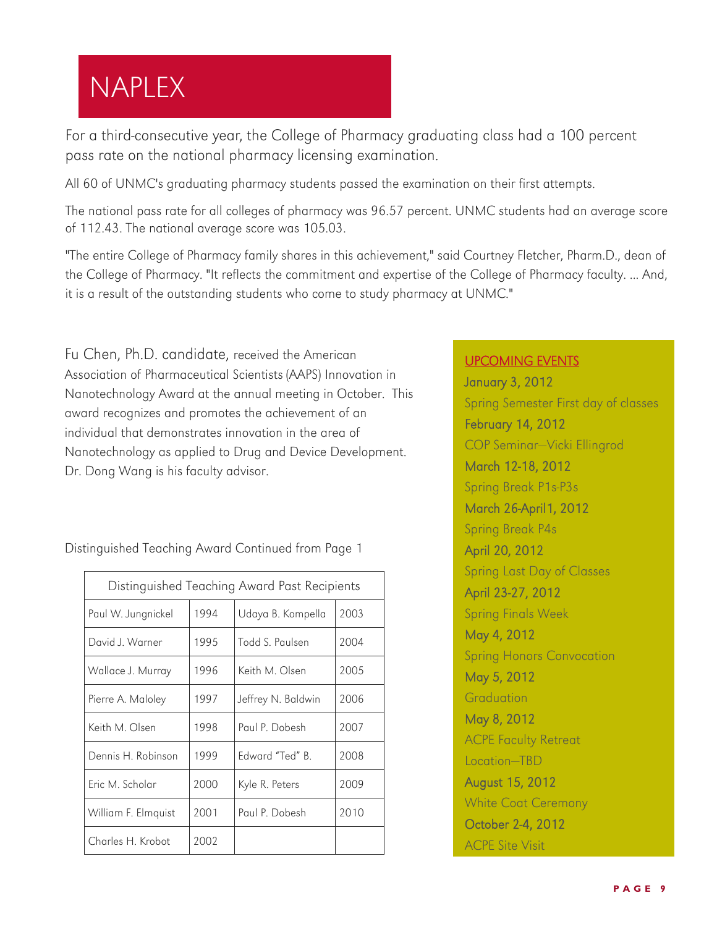# NAPLEX

For a third-consecutive year, the College of Pharmacy graduating class had a 100 percent pass rate on the national pharmacy licensing examination.

All 60 of UNMC's graduating pharmacy students passed the examination on their first attempts.

The national pass rate for all colleges of pharmacy was 96.57 percent. UNMC students had an average score of 112.43. The national average score was 105.03.

"The entire College of Pharmacy family shares in this achievement," said Courtney Fletcher, Pharm.D., dean of the College of Pharmacy. "It reflects the commitment and expertise of the College of Pharmacy faculty. ... And, it is a result of the outstanding students who come to study pharmacy at UNMC."

Fu Chen, Ph.D. candidate, received the American Association of Pharmaceutical Scientists (AAPS) Innovation in Nanotechnology Award at the annual meeting in October. This award recognizes and promotes the achievement of an individual that demonstrates innovation in the area of Nanotechnology as applied to Drug and Device Development. Dr. Dong Wang is his faculty advisor.

Paul W. Jungnickel | 1994 | Udaya B. Kompella | 2003 Distinguished Teaching Award Past Recipients Distinguished Teaching Award Continued from Page 1

| Paul W. Jungnickel  | 1994 | Udaya B. Kompella  | 2003 |
|---------------------|------|--------------------|------|
| David J. Warner     | 1995 | Todd S. Paulsen    | 2004 |
| Wallace J. Murray   | 1996 | Keith M. Olsen     | 2005 |
| Pierre A. Maloley   | 1997 | Jeffrey N. Baldwin | 2006 |
| Keith M. Olsen      | 1998 | Paul P. Dobesh     | 2007 |
| Dennis H. Robinson  | 1999 | Edward "Ted" B.    | 2008 |
| Eric M. Scholar     | 2000 | Kyle R. Peters     | 2009 |
| William F. Elmquist | 2001 | Paul P. Dobesh     | 2010 |
| Charles H. Krobot   | 2002 |                    |      |

#### [UPCOMING EVENTS](http://cal.unmc.edu/?uc=159)

January 3, 2012 Spring Semester First day of classes February 14, 2012 COP Seminar—Vicki Ellingrod March 12-18, 2012 Spring Break P1s-P3s March 26-April1, 2012 Spring Break P4s April 20, 2012 Spring Last Day of Classes April 23-27, 2012 Spring Finals Week May 4, 2012 Spring Honors Convocation May 5, 2012 Graduation May 8, 2012 ACPE Faculty Retreat Location—TBD August 15, 2012 White Coat Ceremony October 2-4, 2012 ACPE Site Visit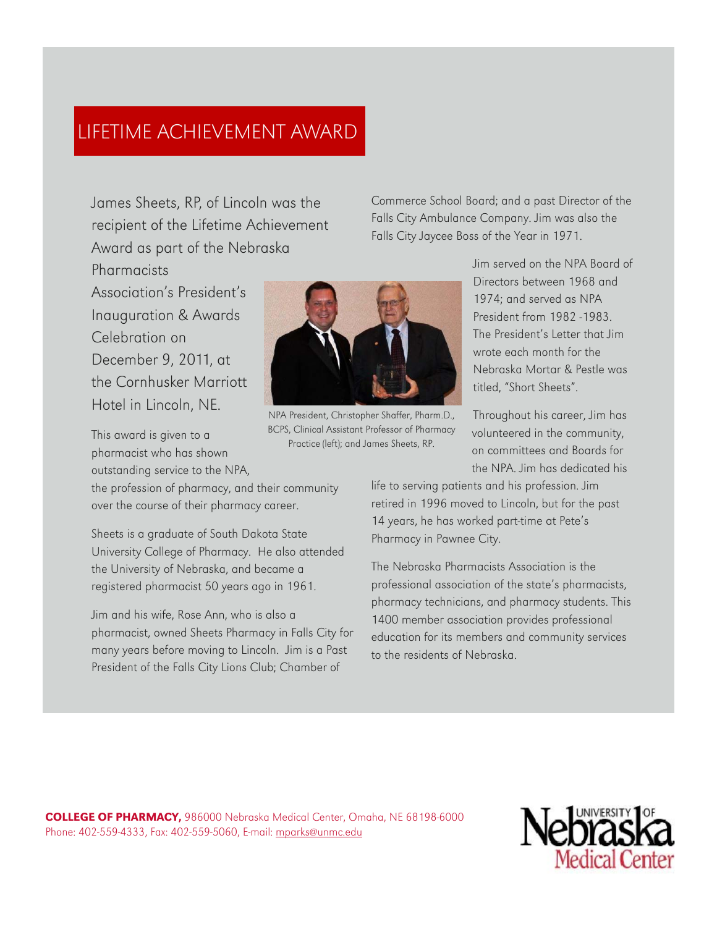## LIFETIME ACHIEVEMENT AWARD

James Sheets, RP, of Lincoln was the recipient of the Lifetime Achievement Award as part of the Nebraska

Association's President's Inauguration & Awards Celebration on December 9, 2011, at the Cornhusker Marriott Hotel in Lincoln, NE.

Pharmacists

This award is given to a pharmacist who has shown outstanding service to the NPA,

the profession of pharmacy, and their community over the course of their pharmacy career.

Sheets is a graduate of South Dakota State University College of Pharmacy. He also attended the University of Nebraska, and became a registered pharmacist 50 years ago in 1961.

Jim and his wife, Rose Ann, who is also a pharmacist, owned Sheets Pharmacy in Falls City for many years before moving to Lincoln. Jim is a Past President of the Falls City Lions Club; Chamber of



NPA President, Christopher Shaffer, Pharm.D., BCPS, Clinical Assistant Professor of Pharmacy Practice (left); and James Sheets, RP.

Commerce School Board; and a past Director of the Falls City Ambulance Company. Jim was also the Falls City Jaycee Boss of the Year in 1971.

> Jim served on the NPA Board of Directors between 1968 and 1974; and served as NPA President from 1982 -1983. The President's Letter that Jim wrote each month for the Nebraska Mortar & Pestle was titled, "Short Sheets".

Throughout his career, Jim has volunteered in the community, on committees and Boards for the NPA. Jim has dedicated his

life to serving patients and his profession. Jim retired in 1996 moved to Lincoln, but for the past 14 years, he has worked part-time at Pete's Pharmacy in Pawnee City.

The Nebraska Pharmacists Association is the professional association of the state's pharmacists, pharmacy technicians, and pharmacy students. This 1400 member association provides professional education for its members and community services to the residents of Nebraska.

COLLEGE OF PHARMACY, 986000 Nebraska Medical Center, Omaha, NE 68198-6000 Phone: 402-559-4333, Fax: 402-559-5060, E-mail: [mparks@unmc.edu](mailto:mparks@unmc.edu?subject=College%20Connections)

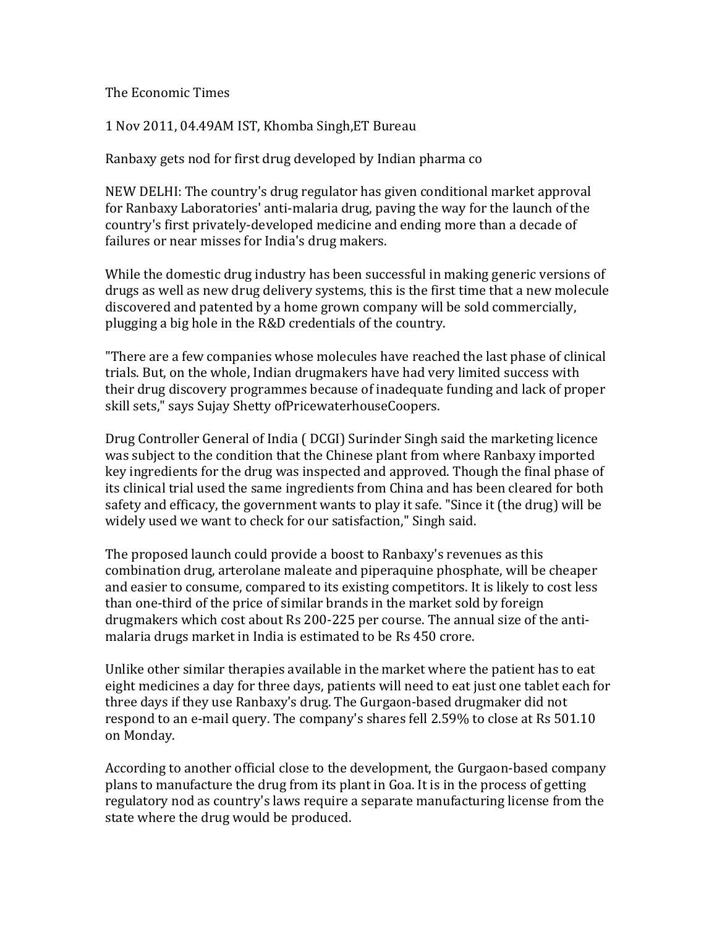<span id="page-10-0"></span>The Economic Times

1 Nov 2011, 04.49AM IST, Khomba Singh,ET Bureau

Ranbaxy gets nod for first drug developed by Indian pharma co

NEW DELHI: The country's drug regulator has given conditional market approval for Ranbaxy Laboratories' anti-malaria drug, paving the way for the launch of the country's first privately-developed medicine and ending more than a decade of failures or near misses for India's drug makers.

While the domestic drug industry has been successful in making generic versions of drugs as well as new drug delivery systems, this is the first time that a new molecule discovered and patented by a home grown company will be sold commercially, plugging a big hole in the R&D credentials of the country.

"There are a few companies whose molecules have reached the last phase of clinical trials. But, on the whole, Indian drugmakers have had very limited success with their drug discovery programmes because of inadequate funding and lack of proper skill sets," says Sujay Shetty ofPricewaterhouseCoopers.

Drug Controller General of India ( DCGI) Surinder Singh said the marketing licence was subject to the condition that the Chinese plant from where Ranbaxy imported key ingredients for the drug was inspected and approved. Though the final phase of its clinical trial used the same ingredients from China and has been cleared for both safety and efficacy, the government wants to play it safe. "Since it (the drug) will be widely used we want to check for our satisfaction," Singh said.

The proposed launch could provide a boost to Ranbaxy's revenues as this combination drug, arterolane maleate and piperaquine phosphate, will be cheaper and easier to consume, compared to its existing competitors. It is likely to cost less than one-third of the price of similar brands in the market sold by foreign drugmakers which cost about Rs 200-225 per course. The annual size of the antimalaria drugs market in India is estimated to be Rs 450 crore.

Unlike other similar therapies available in the market where the patient has to eat eight medicines a day for three days, patients will need to eat just one tablet each for three days if they use Ranbaxy's drug. The Gurgaon-based drugmaker did not respond to an e-mail query. The company's shares fell 2.59% to close at Rs 501.10 on Monday.

According to another official close to the development, the Gurgaon-based company plans to manufacture the drug from its plant in Goa. It is in the process of getting regulatory nod as country's laws require a separate manufacturing license from the state where the drug would be produced.